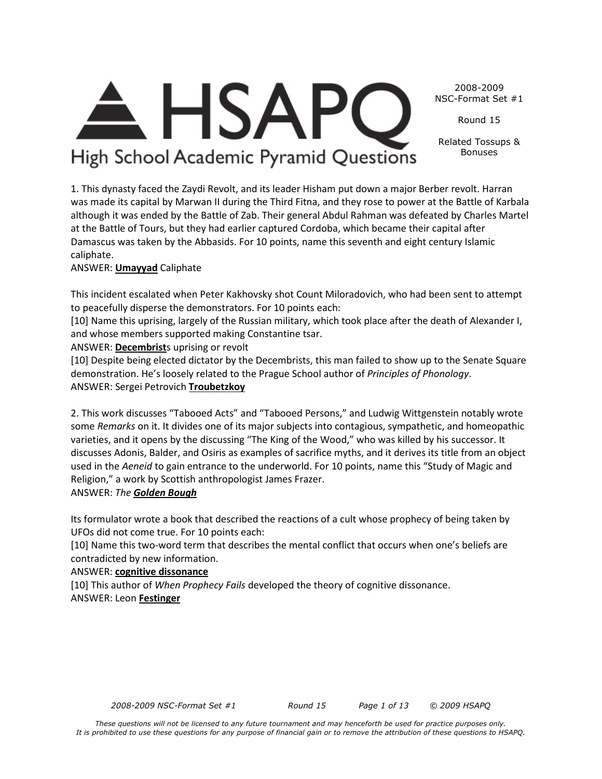*These questions will not be licensed to any future tournament and may henceforth be used for practice purposes only. It is prohibited to use these questions for any purpose of financial gain or to remove the attribution of these questions to HSAPQ.*

2008-2009 NSC-Format Set #1

Round 15

Related Tossups & Bonuses

High School Academic Pyramid Questions

**HSAP** 

1. This dynasty faced the Zaydi Revolt, and its leader Hisham put down a major Berber revolt. Harran was made its capital by Marwan II during the Third Fitna, and they rose to power at the Battle of Karbala although it was ended by the Battle of Zab. Their general Abdul Rahman was defeated by Charles Martel at the Battle of Tours, but they had earlier captured Cordoba, which became their capital after Damascus was taken by the Abbasids. For 10 points, name this seventh and eight century Islamic caliphate.

## ANSWER: **Umayyad** Caliphate

This incident escalated when Peter Kakhovsky shot Count Miloradovich, who had been sent to attempt to peacefully disperse the demonstrators. For 10 points each:

[10] Name this uprising, largely of the Russian military, which took place after the death of Alexander I, and whose members supported making Constantine tsar.

ANSWER: **Decembrist**s uprising or revolt

[10] Despite being elected dictator by the Decembrists, this man failed to show up to the Senate Square demonstration. He's loosely related to the Prague School author of *Principles of Phonology*. ANSWER: Sergei Petrovich **Troubetzkoy**

2. This work discusses "Tabooed Acts" and "Tabooed Persons," and Ludwig Wittgenstein notably wrote some *Remarks* on it. It divides one of its major subjects into contagious, sympathetic, and homeopathic varieties, and it opens by the discussing "The King of the Wood," who was killed by his successor. It discusses Adonis, Balder, and Osiris as examples of sacrifice myths, and it derives its title from an object used in the *Aeneid* to gain entrance to the underworld. For 10 points, name this "Study of Magic and Religion," a work by Scottish anthropologist James Frazer.

## ANSWER: *The Golden Bough*

Its formulator wrote a book that described the reactions of a cult whose prophecy of being taken by UFOs did not come true. For 10 points each:

[10] Name this two-word term that describes the mental conflict that occurs when one's beliefs are contradicted by new information.

#### ANSWER: **cognitive dissonance**

[10] This author of *When Prophecy Fails* developed the theory of cognitive dissonance. ANSWER: Leon **Festinger**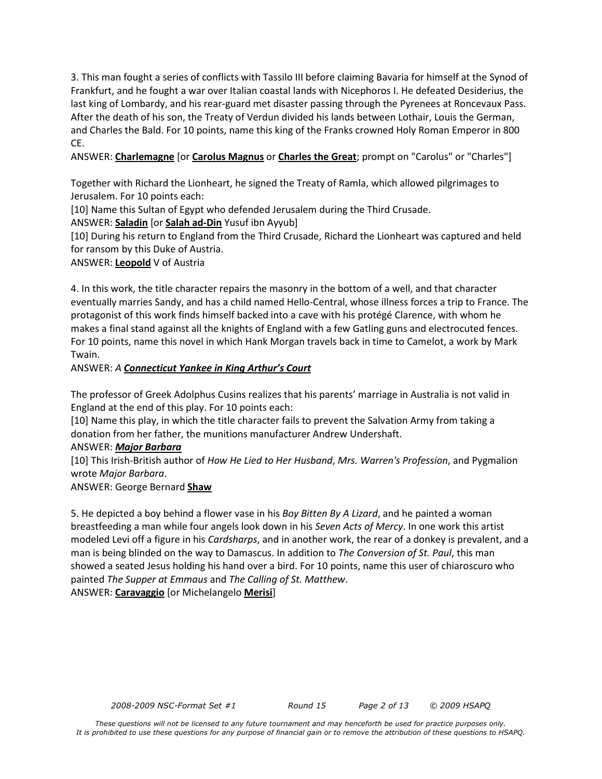3. This man fought a series of conflicts with Tassilo III before claiming Bavaria for himself at the Synod of Frankfurt, and he fought a war over Italian coastal lands with Nicephoros I. He defeated Desiderius, the last king of Lombardy, and his rear-guard met disaster passing through the Pyrenees at Roncevaux Pass. After the death of his son, the Treaty of Verdun divided his lands between Lothair, Louis the German, and Charles the Bald. For 10 points, name this king of the Franks crowned Holy Roman Emperor in 800 CE.

ANSWER: **Charlemagne** [or **Carolus Magnus** or **Charles the Great**; prompt on "Carolus" or "Charles"]

Together with Richard the Lionheart, he signed the Treaty of Ramla, which allowed pilgrimages to Jerusalem. For 10 points each:

[10] Name this Sultan of Egypt who defended Jerusalem during the Third Crusade.

ANSWER: **Saladin** [or **Salah ad-Din** Yusuf ibn Ayyub]

[10] During his return to England from the Third Crusade, Richard the Lionheart was captured and held for ransom by this Duke of Austria.

ANSWER: **Leopold** V of Austria

4. In this work, the title character repairs the masonry in the bottom of a well, and that character eventually marries Sandy, and has a child named Hello-Central, whose illness forces a trip to France. The protagonist of this work finds himself backed into a cave with his protégé Clarence, with whom he makes a final stand against all the knights of England with a few Gatling guns and electrocuted fences. For 10 points, name this novel in which Hank Morgan travels back in time to Camelot, a work by Mark Twain.

ANSWER: *A Connecticut Yankee in King Arthur's Court*

The professor of Greek Adolphus Cusins realizes that his parents' marriage in Australia is not valid in England at the end of this play. For 10 points each:

[10] Name this play, in which the title character fails to prevent the Salvation Army from taking a donation from her father, the munitions manufacturer Andrew Undershaft.

#### ANSWER: *Major Barbara*

[10] This Irish-British author of *How He Lied to Her Husband*, *Mrs. Warren's Profession*, and Pygmalion wrote *Major Barbara*.

ANSWER: George Bernard **Shaw**

5. He depicted a boy behind a flower vase in his *Boy Bitten By A Lizard*, and he painted a woman breastfeeding a man while four angels look down in his *Seven Acts of Mercy*. In one work this artist modeled Levi off a figure in his *Cardsharps*, and in another work, the rear of a donkey is prevalent, and a man is being blinded on the way to Damascus. In addition to *The Conversion of St. Paul*, this man showed a seated Jesus holding his hand over a bird. For 10 points, name this user of chiaroscuro who painted *The Supper at Emmaus* and *The Calling of St. Matthew*. ANSWER: **Caravaggio** [or Michelangelo **Merisi**]

*2008-2009 NSC-Format Set #1 Round 15 Page 2 of 13 © 2009 HSAPQ*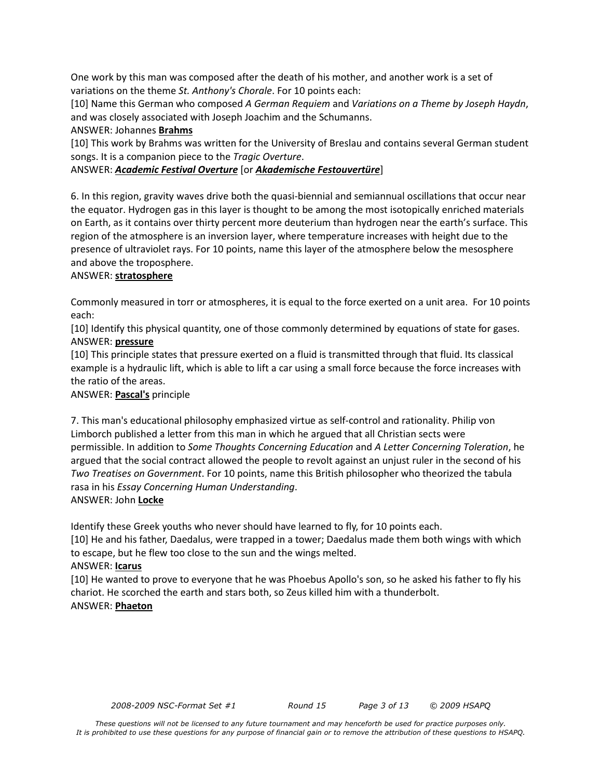One work by this man was composed after the death of his mother, and another work is a set of variations on the theme *St. Anthony's Chorale*. For 10 points each:

[10] Name this German who composed *A German Requiem* and *Variations on a Theme by Joseph Haydn*, and was closely associated with Joseph Joachim and the Schumanns.

ANSWER: Johannes **Brahms**

[10] This work by Brahms was written for the University of Breslau and contains several German student songs. It is a companion piece to the *Tragic Overture*.

## ANSWER: *Academic Festival Overture* [or *Akademische Festouvertüre*]

6. In this region, gravity waves drive both the quasi-biennial and semiannual oscillations that occur near the equator. Hydrogen gas in this layer is thought to be among the most isotopically enriched materials on Earth, as it contains over thirty percent more deuterium than hydrogen near the earth's surface. This region of the atmosphere is an inversion layer, where temperature increases with height due to the presence of ultraviolet rays. For 10 points, name this layer of the atmosphere below the mesosphere and above the troposphere.

#### ANSWER: **stratosphere**

Commonly measured in torr or atmospheres, it is equal to the force exerted on a unit area. For 10 points each:

[10] Identify this physical quantity, one of those commonly determined by equations of state for gases. ANSWER: **pressure**

[10] This principle states that pressure exerted on a fluid is transmitted through that fluid. Its classical example is a hydraulic lift, which is able to lift a car using a small force because the force increases with the ratio of the areas.

## ANSWER: **Pascal's** principle

7. This man's educational philosophy emphasized virtue as self-control and rationality. Philip von Limborch published a letter from this man in which he argued that all Christian sects were permissible. In addition to *Some Thoughts Concerning Education* and *A Letter Concerning Toleration*, he argued that the social contract allowed the people to revolt against an unjust ruler in the second of his *Two Treatises on Government*. For 10 points, name this British philosopher who theorized the tabula rasa in his *Essay Concerning Human Understanding*.

ANSWER: John **Locke**

Identify these Greek youths who never should have learned to fly, for 10 points each.

[10] He and his father, Daedalus, were trapped in a tower; Daedalus made them both wings with which to escape, but he flew too close to the sun and the wings melted.

#### ANSWER: **Icarus**

[10] He wanted to prove to everyone that he was Phoebus Apollo's son, so he asked his father to fly his chariot. He scorched the earth and stars both, so Zeus killed him with a thunderbolt. ANSWER: **Phaeton**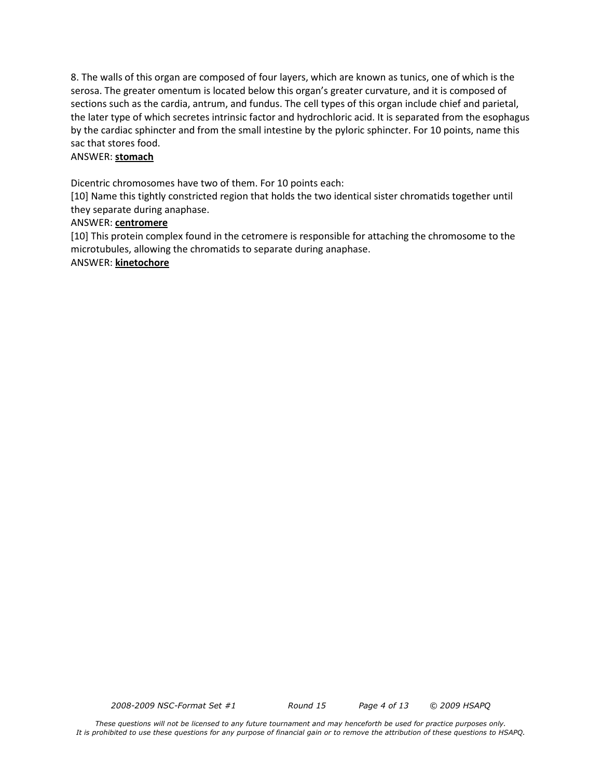8. The walls of this organ are composed of four layers, which are known as tunics, one of which is the serosa. The greater omentum is located below this organ's greater curvature, and it is composed of sections such as the cardia, antrum, and fundus. The cell types of this organ include chief and parietal, the later type of which secretes intrinsic factor and hydrochloric acid. It is separated from the esophagus by the cardiac sphincter and from the small intestine by the pyloric sphincter. For 10 points, name this sac that stores food.

#### ANSWER: **stomach**

Dicentric chromosomes have two of them. For 10 points each:

[10] Name this tightly constricted region that holds the two identical sister chromatids together until they separate during anaphase.

#### ANSWER: **centromere**

[10] This protein complex found in the cetromere is responsible for attaching the chromosome to the microtubules, allowing the chromatids to separate during anaphase. ANSWER: **kinetochore**

*2008-2009 NSC-Format Set #1 Round 15 Page 4 of 13 © 2009 HSAPQ*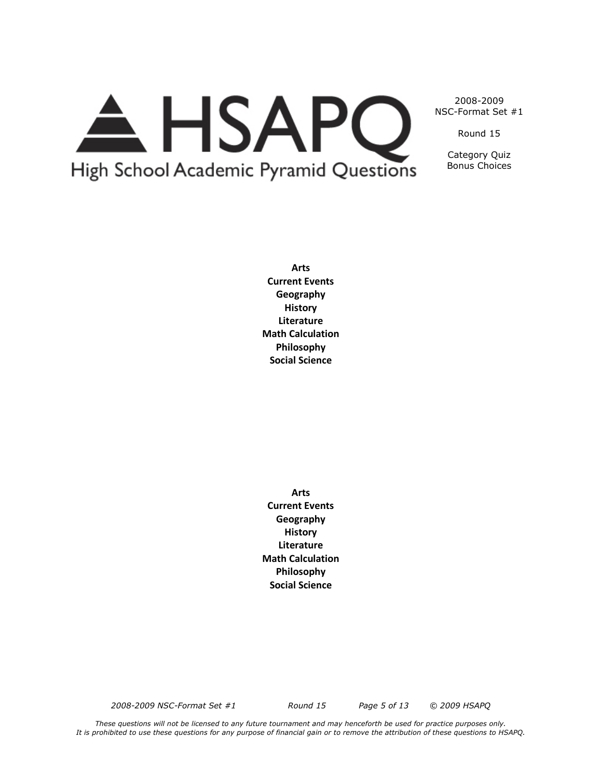# A HSAPQ High School Academic Pyramid Questions

2008-2009 NSC-Format Set #1

Round 15

Category Quiz Bonus Choices

**Arts Current Events Geography History Literature Math Calculation Philosophy Social Science**

**Arts Current Events Geography History Literature Math Calculation Philosophy Social Science**

*2008-2009 NSC-Format Set #1 Round 15 Page 5 of 13 © 2009 HSAPQ*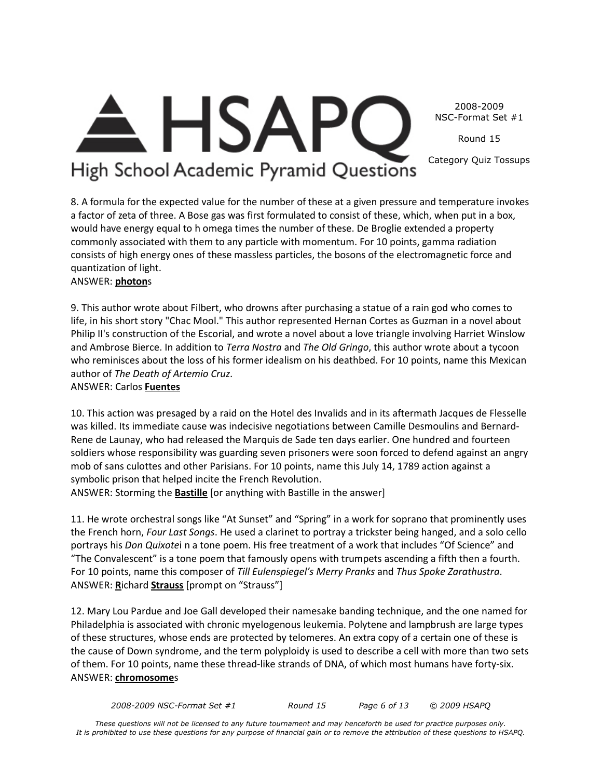2008-2009 NSC-Format Set #1

Round 15

Category Quiz Tossups

## **HSAP** High School Academic Pyramid Questions

8. A formula for the expected value for the number of these at a given pressure and temperature invokes a factor of zeta of three. A Bose gas was first formulated to consist of these, which, when put in a box, would have energy equal to h omega times the number of these. De Broglie extended a property commonly associated with them to any particle with momentum. For 10 points, gamma radiation consists of high energy ones of these massless particles, the bosons of the electromagnetic force and quantization of light.

## ANSWER: **photon**s

9. This author wrote about Filbert, who drowns after purchasing a statue of a rain god who comes to life, in his short story "Chac Mool." This author represented Hernan Cortes as Guzman in a novel about Philip II's construction of the Escorial, and wrote a novel about a love triangle involving Harriet Winslow and Ambrose Bierce. In addition to *Terra Nostra* and *The Old Gringo*, this author wrote about a tycoon who reminisces about the loss of his former idealism on his deathbed. For 10 points, name this Mexican author of *The Death of Artemio Cruz*.

## ANSWER: Carlos **Fuentes**

10. This action was presaged by a raid on the Hotel des Invalids and in its aftermath Jacques de Flesselle was killed. Its immediate cause was indecisive negotiations between Camille Desmoulins and Bernard-Rene de Launay, who had released the Marquis de Sade ten days earlier. One hundred and fourteen soldiers whose responsibility was guarding seven prisoners were soon forced to defend against an angry mob of sans culottes and other Parisians. For 10 points, name this July 14, 1789 action against a symbolic prison that helped incite the French Revolution.

ANSWER: Storming the **Bastille** [or anything with Bastille in the answer]

11. He wrote orchestral songs like "At Sunset" and "Spring" in a work for soprano that prominently uses the French horn, *Four Last Songs*. He used a clarinet to portray a trickster being hanged, and a solo cello portrays his *Don Quixote*i n a tone poem. His free treatment of a work that includes "Of Science" and "The Convalescent" is a tone poem that famously opens with trumpets ascending a fifth then a fourth. For 10 points, name this composer of *Till Eulenspiegel's Merry Pranks* and *Thus Spoke Zarathustra*. ANSWER: **R**ichard **Strauss** [prompt on "Strauss"]

12. Mary Lou Pardue and Joe Gall developed their namesake banding technique, and the one named for Philadelphia is associated with chronic myelogenous leukemia. Polytene and lampbrush are large types of these structures, whose ends are protected by telomeres. An extra copy of a certain one of these is the cause of Down syndrome, and the term polyploidy is used to describe a cell with more than two sets of them. For 10 points, name these thread-like strands of DNA, of which most humans have forty-six. ANSWER: **chromosome**s

*2008-2009 NSC-Format Set #1 Round 15 Page 6 of 13 © 2009 HSAPQ*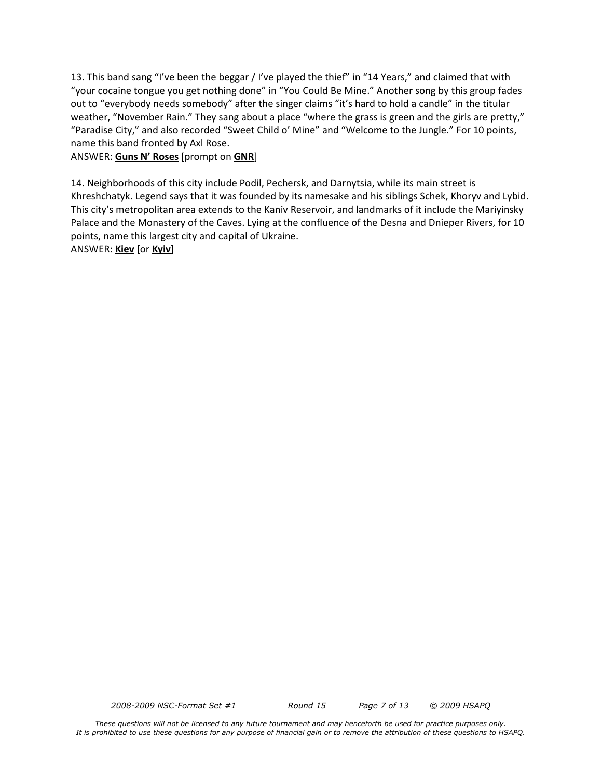13. This band sang "I've been the beggar / I've played the thief" in "14 Years," and claimed that with "your cocaine tongue you get nothing done" in "You Could Be Mine." Another song by this group fades out to "everybody needs somebody" after the singer claims "it's hard to hold a candle" in the titular weather, "November Rain." They sang about a place "where the grass is green and the girls are pretty," "Paradise City," and also recorded "Sweet Child o' Mine" and "Welcome to the Jungle." For 10 points, name this band fronted by Axl Rose.

#### ANSWER: **Guns N' Roses** [prompt on **GNR**]

14. Neighborhoods of this city include Podil, Pechersk, and Darnytsia, while its main street is Khreshchatyk. Legend says that it was founded by its namesake and his siblings Schek, Khoryv and Lybid. This city's metropolitan area extends to the Kaniv Reservoir, and landmarks of it include the Mariyinsky Palace and the Monastery of the Caves. Lying at the confluence of the Desna and Dnieper Rivers, for 10 points, name this largest city and capital of Ukraine.

#### ANSWER: **Kiev** [or **Kyiv**]

*2008-2009 NSC-Format Set #1 Round 15 Page 7 of 13 © 2009 HSAPQ*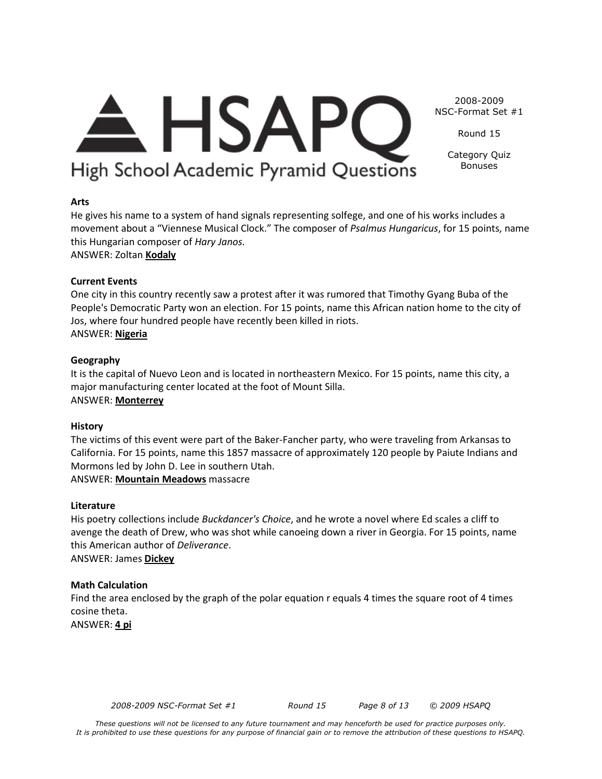## $\triangle$  HSAPC High School Academic Pyramid Questions

NSC-Format Set #1 Round 15

2008-2009

Category Quiz Bonuses

## **Arts**

He gives his name to a system of hand signals representing solfege, and one of his works includes a movement about a "Viennese Musical Clock." The composer of *Psalmus Hungaricus*, for 15 points, name this Hungarian composer of *Hary Janos.*

ANSWER: Zoltan **Kodaly**

## **Current Events**

One city in this country recently saw a protest after it was rumored that Timothy Gyang Buba of the People's Democratic Party won an election. For 15 points, name this African nation home to the city of Jos, where four hundred people have recently been killed in riots. ANSWER: **Nigeria**

## **Geography**

It is the capital of Nuevo Leon and is located in northeastern Mexico. For 15 points, name this city, a major manufacturing center located at the foot of Mount Silla. ANSWER: **Monterrey**

## **History**

The victims of this event were part of the Baker-Fancher party, who were traveling from Arkansas to California. For 15 points, name this 1857 massacre of approximately 120 people by Paiute Indians and Mormons led by John D. Lee in southern Utah. ANSWER: **Mountain Meadows** massacre

**Literature**

His poetry collections include *Buckdancer's Choice*, and he wrote a novel where Ed scales a cliff to avenge the death of Drew, who was shot while canoeing down a river in Georgia. For 15 points, name this American author of *Deliverance*. ANSWER: James **Dickey**

## **Math Calculation**

Find the area enclosed by the graph of the polar equation r equals 4 times the square root of 4 times cosine theta.

ANSWER: **4 pi**

*2008-2009 NSC-Format Set #1 Round 15 Page 8 of 13 © 2009 HSAPQ*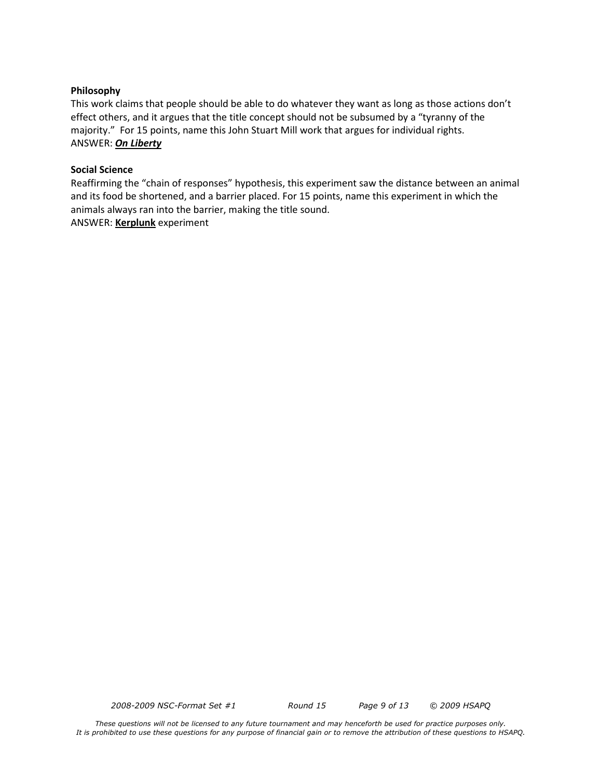#### **Philosophy**

This work claims that people should be able to do whatever they want as long as those actions don't effect others, and it argues that the title concept should not be subsumed by a "tyranny of the majority." For 15 points, name this John Stuart Mill work that argues for individual rights. ANSWER: *On Liberty*

#### **Social Science**

Reaffirming the "chain of responses" hypothesis, this experiment saw the distance between an animal and its food be shortened, and a barrier placed. For 15 points, name this experiment in which the animals always ran into the barrier, making the title sound. ANSWER: **Kerplunk** experiment

*2008-2009 NSC-Format Set #1 Round 15 Page 9 of 13 © 2009 HSAPQ*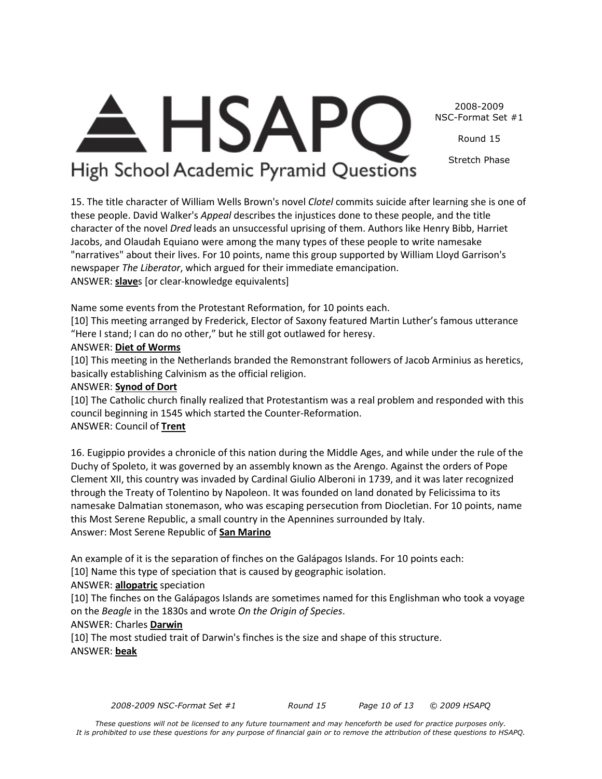2008-2009 NSC-Format Set #1

Round 15

Stretch Phase

## $\triangle$  HSAPC High School Academic Pyramid Questions

15. The title character of William Wells Brown's novel *Clotel* commits suicide after learning she is one of these people. David Walker's *Appeal* describes the injustices done to these people, and the title character of the novel *Dred* leads an unsuccessful uprising of them. Authors like Henry Bibb, Harriet Jacobs, and Olaudah Equiano were among the many types of these people to write namesake "narratives" about their lives. For 10 points, name this group supported by William Lloyd Garrison's newspaper *The Liberator*, which argued for their immediate emancipation. ANSWER: **slave**s [or clear-knowledge equivalents]

Name some events from the Protestant Reformation, for 10 points each.

[10] This meeting arranged by Frederick, Elector of Saxony featured Martin Luther's famous utterance "Here I stand; I can do no other," but he still got outlawed for heresy.

### ANSWER: **Diet of Worms**

[10] This meeting in the Netherlands branded the Remonstrant followers of Jacob Arminius as heretics, basically establishing Calvinism as the official religion.

### ANSWER: **Synod of Dort**

[10] The Catholic church finally realized that Protestantism was a real problem and responded with this council beginning in 1545 which started the Counter-Reformation. ANSWER: Council of **Trent**

16. Eugippio provides a chronicle of this nation during the Middle Ages, and while under the rule of the Duchy of Spoleto, it was governed by an assembly known as the Arengo. Against the orders of Pope Clement XII, this country was invaded by Cardinal Giulio Alberoni in 1739, and it was later recognized through the Treaty of Tolentino by Napoleon. It was founded on land donated by Felicissima to its namesake Dalmatian stonemason, who was escaping persecution from Diocletian. For 10 points, name this Most Serene Republic, a small country in the Apennines surrounded by Italy. Answer: Most Serene Republic of **San Marino**

An example of it is the separation of finches on the Galápagos Islands. For 10 points each:

[10] Name this type of speciation that is caused by geographic isolation.

## ANSWER: **allopatric** speciation

[10] The finches on the Galápagos Islands are sometimes named for this Englishman who took a voyage on the *Beagle* in the 1830s and wrote *On the Origin of Species*.

## ANSWER: Charles **Darwin**

[10] The most studied trait of Darwin's finches is the size and shape of this structure. ANSWER: **beak**

*2008-2009 NSC-Format Set #1 Round 15 Page 10 of 13 © 2009 HSAPQ*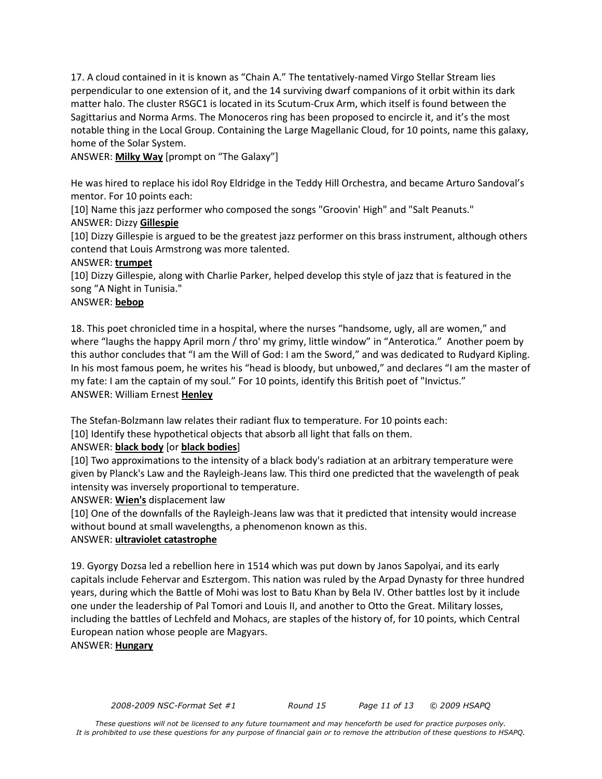17. A cloud contained in it is known as "Chain A." The tentatively-named Virgo Stellar Stream lies perpendicular to one extension of it, and the 14 surviving dwarf companions of it orbit within its dark matter halo. The cluster RSGC1 is located in its Scutum-Crux Arm, which itself is found between the Sagittarius and Norma Arms. The Monoceros ring has been proposed to encircle it, and it's the most notable thing in the Local Group. Containing the Large Magellanic Cloud, for 10 points, name this galaxy, home of the Solar System.

ANSWER: **Milky Way** [prompt on "The Galaxy"]

He was hired to replace his idol Roy Eldridge in the Teddy Hill Orchestra, and became Arturo Sandoval's mentor. For 10 points each:

[10] Name this jazz performer who composed the songs "Groovin' High" and "Salt Peanuts."

## ANSWER: Dizzy **Gillespie**

[10] Dizzy Gillespie is argued to be the greatest jazz performer on this brass instrument, although others contend that Louis Armstrong was more talented.

## ANSWER: **trumpet**

[10] Dizzy Gillespie, along with Charlie Parker, helped develop this style of jazz that is featured in the song "A Night in Tunisia."

## ANSWER: **bebop**

18. This poet chronicled time in a hospital, where the nurses "handsome, ugly, all are women," and where "laughs the happy April morn / thro' my grimy, little window" in "Anterotica." Another poem by this author concludes that "I am the Will of God: I am the Sword," and was dedicated to Rudyard Kipling. In his most famous poem, he writes his "head is bloody, but unbowed," and declares "I am the master of my fate: I am the captain of my soul." For 10 points, identify this British poet of "Invictus." ANSWER: William Ernest **Henley**

The Stefan-Bolzmann law relates their radiant flux to temperature. For 10 points each:

[10] Identify these hypothetical objects that absorb all light that falls on them.

## ANSWER: **black body** [or **black bodies**]

[10] Two approximations to the intensity of a black body's radiation at an arbitrary temperature were given by Planck's Law and the Rayleigh-Jeans law. This third one predicted that the wavelength of peak intensity was inversely proportional to temperature.

ANSWER: **Wien's** displacement law

[10] One of the downfalls of the Rayleigh-Jeans law was that it predicted that intensity would increase without bound at small wavelengths, a phenomenon known as this.

## ANSWER: **ultraviolet catastrophe**

19. Gyorgy Dozsa led a rebellion here in 1514 which was put down by Janos Sapolyai, and its early capitals include Fehervar and Esztergom. This nation was ruled by the Arpad Dynasty for three hundred years, during which the Battle of Mohi was lost to Batu Khan by Bela IV. Other battles lost by it include one under the leadership of Pal Tomori and Louis II, and another to Otto the Great. Military losses, including the battles of Lechfeld and Mohacs, are staples of the history of, for 10 points, which Central European nation whose people are Magyars.

## ANSWER: **Hungary**

*<sup>2008-2009</sup> NSC-Format Set #1 Round 15 Page 11 of 13 © 2009 HSAPQ*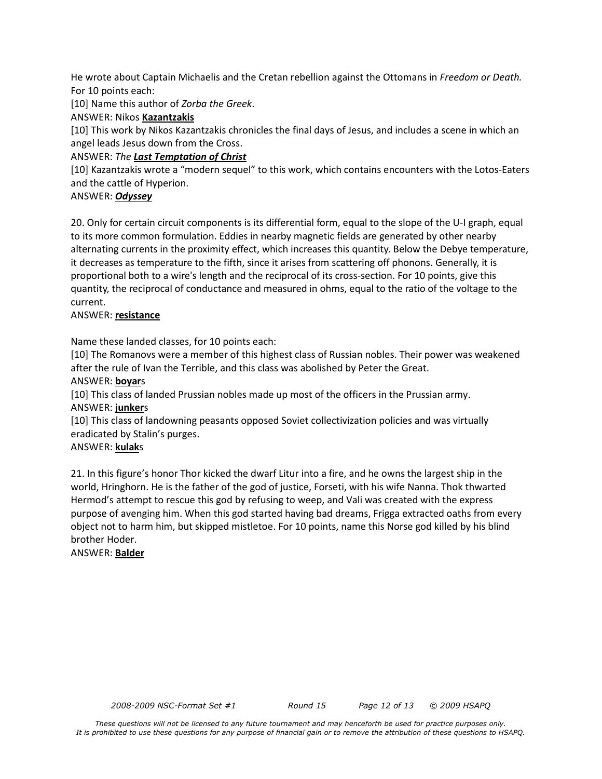He wrote about Captain Michaelis and the Cretan rebellion against the Ottomans in *Freedom or Death.* For 10 points each:

[10] Name this author of *Zorba the Greek*.

## ANSWER: Nikos **Kazantzakis**

[10] This work by Nikos Kazantzakis chronicles the final days of Jesus, and includes a scene in which an angel leads Jesus down from the Cross.

## ANSWER: *The Last Temptation of Christ*

[10] Kazantzakis wrote a "modern sequel" to this work, which contains encounters with the Lotos-Eaters and the cattle of Hyperion.

## ANSWER: *Odyssey*

20. Only for certain circuit components is its differential form, equal to the slope of the U-I graph, equal to its more common formulation. Eddies in nearby magnetic fields are generated by other nearby alternating currents in the proximity effect, which increases this quantity. Below the Debye temperature, it decreases as temperature to the fifth, since it arises from scattering off phonons. Generally, it is proportional both to a wire's length and the reciprocal of its cross-section. For 10 points, give this quantity, the reciprocal of conductance and measured in ohms, equal to the ratio of the voltage to the current.

### ANSWER: **resistance**

Name these landed classes, for 10 points each:

[10] The Romanovs were a member of this highest class of Russian nobles. Their power was weakened after the rule of Ivan the Terrible, and this class was abolished by Peter the Great.

#### ANSWER: **boyar**s

[10] This class of landed Prussian nobles made up most of the officers in the Prussian army. ANSWER: **junker**s

[10] This class of landowning peasants opposed Soviet collectivization policies and was virtually eradicated by Stalin's purges.

#### ANSWER: **kulak**s

21. In this figure's honor Thor kicked the dwarf Litur into a fire, and he owns the largest ship in the world, Hringhorn. He is the father of the god of justice, Forseti, with his wife Nanna. Thok thwarted Hermod's attempt to rescue this god by refusing to weep, and Vali was created with the express purpose of avenging him. When this god started having bad dreams, Frigga extracted oaths from every object not to harm him, but skipped mistletoe. For 10 points, name this Norse god killed by his blind brother Hoder.

ANSWER: **Balder**

*2008-2009 NSC-Format Set #1 Round 15 Page 12 of 13 © 2009 HSAPQ*